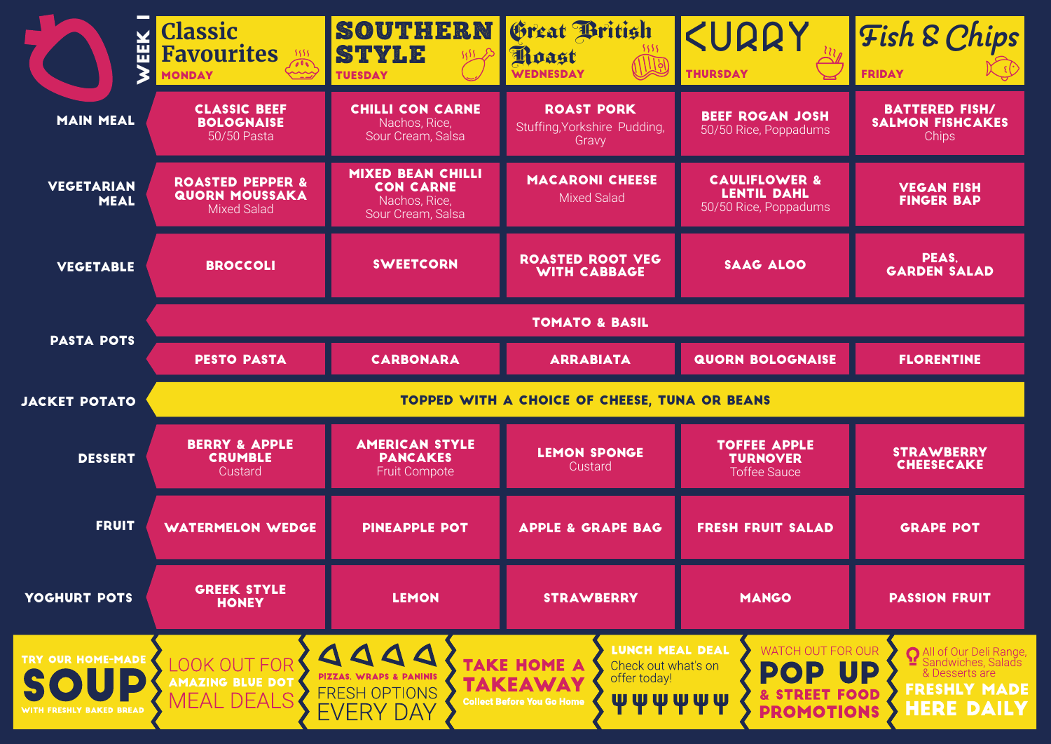| 떼                                | <b>Classic</b><br><b>Favourites</b><br>بيب<br><b>MONDAY</b>                | <b>SOUTHERN</b><br>STYLE<br><b>TUESDAY</b>                                         | Great British<br>Moast<br>WEDNESDAY                        | KURRY<br><b>THURSDAY</b>                                                | <b>Fish &amp; Chips</b><br><b>FRIDAY</b>                         |  |  |
|----------------------------------|----------------------------------------------------------------------------|------------------------------------------------------------------------------------|------------------------------------------------------------|-------------------------------------------------------------------------|------------------------------------------------------------------|--|--|
| <b>MAIN MEAL</b>                 | <b>CLASSIC BEEF</b><br><b>BOLOGNAISE</b><br>50/50 Pasta                    | <b>CHILLI CON CARNE</b><br>Nachos, Rice,<br>Sour Cream, Salsa                      | <b>ROAST PORK</b><br>Stuffing, Yorkshire Pudding,<br>Gravy | <b>BEEF ROGAN JOSH</b><br>50/50 Rice, Poppadums                         | <b>BATTERED FISH/</b><br><b>SALMON FISHCAKES</b><br><b>Chips</b> |  |  |
| <b>VEGETARIAN</b><br><b>MEAL</b> | <b>ROASTED PEPPER &amp;</b><br><b>QUORN MOUSSAKA</b><br><b>Mixed Salad</b> | <b>MIXED BEAN CHILLI</b><br><b>CON CARNE</b><br>Nachos, Rice,<br>Sour Cream, Salsa | <b>MACARONI CHEESE</b><br>Mixed Salad                      | <b>CAULIFLOWER &amp;</b><br><b>LENTIL DAHL</b><br>50/50 Rice, Poppadums | <b>VEGAN FISH</b><br><b>FINGER BAP</b>                           |  |  |
| <b>VEGETABLE</b>                 | <b>BROCCOLI</b>                                                            | <b>SWEETCORN</b>                                                                   | <b>ROASTED ROOT VEG</b><br><b>WITH CABBAGE</b>             | <b>SAAG ALOO</b>                                                        | PEAS,<br><b>GARDEN SALAD</b>                                     |  |  |
| <b>PASTA POTS</b>                | <b>TOMATO &amp; BASIL</b>                                                  |                                                                                    |                                                            |                                                                         |                                                                  |  |  |
|                                  | <b>PESTO PASTA</b>                                                         | <b>CARBONARA</b>                                                                   | <b>ARRABIATA</b>                                           | <b>QUORN BOLOGNAISE</b>                                                 | <b>FLORENTINE</b>                                                |  |  |
|                                  |                                                                            | <b>TOPPED WITH A CHOICE OF CHEESE, TUNA OR BEANS</b>                               |                                                            |                                                                         |                                                                  |  |  |
| <b>JACKET POTATO</b>             |                                                                            |                                                                                    |                                                            |                                                                         |                                                                  |  |  |
| <b>DESSERT</b>                   | <b>BERRY &amp; APPLE</b><br><b>CRUMBLE</b><br>Custard                      | <b>AMERICAN STYLE</b><br><b>PANCAKES</b><br><b>Fruit Compote</b>                   | <b>LEMON SPONGE</b><br>Custard                             | <b>TOFFEE APPLE</b><br><b>TURNOVER</b><br><b>Toffee Sauce</b>           | <b>STRAWBERRY</b><br><b>CHEESECAKE</b>                           |  |  |
| <b>FRUIT</b>                     | <b>WATERMELON WEDGE</b>                                                    | <b>PINEAPPLE POT</b>                                                               | <b>APPLE &amp; GRAPE BAG</b>                               | <b>FRESH FRUIT SALAD</b>                                                | <b>GRAPE POT</b>                                                 |  |  |
| YOGHURT POTS                     | <b>GREEK STYLE</b><br><b>HONEY</b>                                         | <b>LEMON</b>                                                                       | <b>STRAWBERRY</b>                                          | <b>MANGO</b>                                                            | <b>PASSION FRUIT</b>                                             |  |  |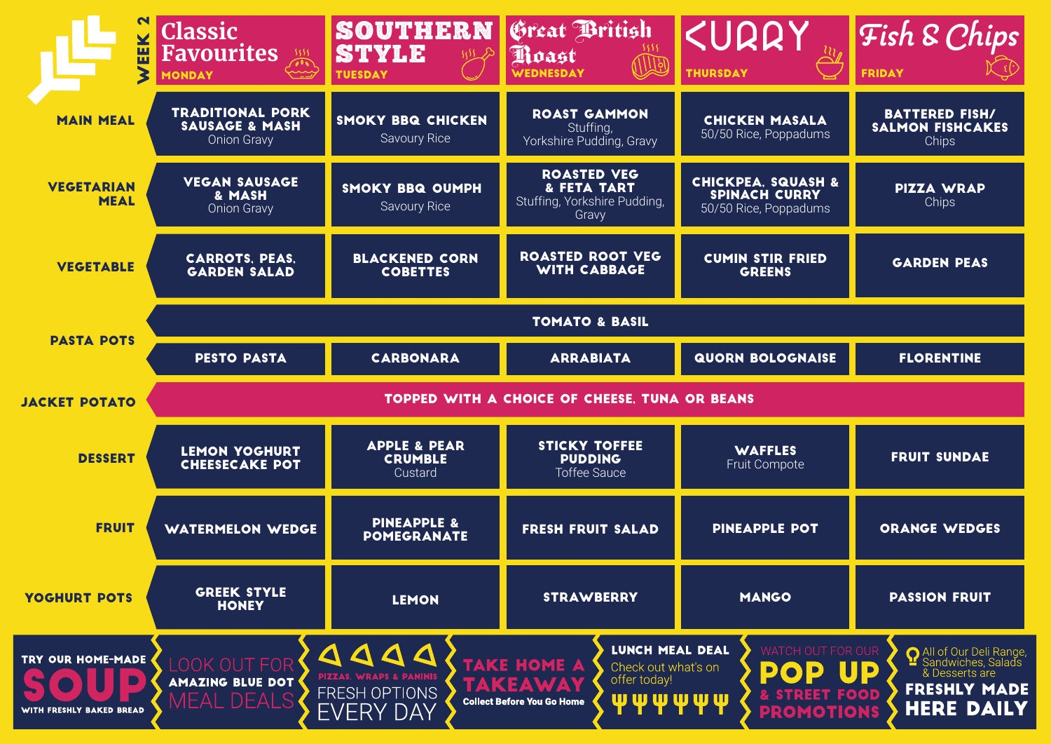| EEK                              | <b>Classic</b><br>Favourites<br><b>MONDAY</b>                              | SOUTHERN<br><b>STYLE</b><br>3552<br><b>TUESDAY</b>   | Great British<br>Poast<br>WEDNESDAY                                        | <b><urry< b=""><br/><b>THURSDAY</b></urry<></b>                                | Fish & Chips<br><b>FRIDAY</b>                             |  |  |
|----------------------------------|----------------------------------------------------------------------------|------------------------------------------------------|----------------------------------------------------------------------------|--------------------------------------------------------------------------------|-----------------------------------------------------------|--|--|
| <b>MAIN MEAL</b>                 | <b>TRADITIONAL PORK</b><br><b>SAUSAGE &amp; MASH</b><br><b>Onion Gravy</b> | <b>SMOKY BBQ CHICKEN</b><br><b>Savoury Rice</b>      | <b>ROAST GAMMON</b><br>Stuffing,<br>Yorkshire Pudding, Gravy               | <b>CHICKEN MASALA</b><br>50/50 Rice, Poppadums                                 | <b>BATTERED FISH/</b><br><b>SALMON FISHCAKES</b><br>Chips |  |  |
| <b>VEGETARIAN</b><br><b>MEAL</b> | <b>VEGAN SAUSAGE</b><br>& MASH<br><b>Onion Gravy</b>                       | <b>SMOKY BBQ OUMPH</b><br><b>Savoury Rice</b>        | <b>ROASTED VEG</b><br>& FETA TART<br>Stuffing, Yorkshire Pudding,<br>Gravy | <b>CHICKPEA, SQUASH &amp;</b><br><b>SPINACH CURRY</b><br>50/50 Rice, Poppadums | <b>PIZZA WRAP</b><br>Chips                                |  |  |
| <b>VEGETABLE</b>                 | <b>CARROTS, PEAS,</b><br><b>GARDEN SALAD</b>                               | <b>BLACKENED CORN</b><br><b>COBETTES</b>             | <b>ROASTED ROOT VEG</b><br><b>WITH CABBAGE</b>                             | <b>CUMIN STIR FRIED</b><br><b>GREENS</b>                                       | <b>GARDEN PEAS</b>                                        |  |  |
| <b>PASTA POTS</b>                | <b>TOMATO &amp; BASIL</b>                                                  |                                                      |                                                                            |                                                                                |                                                           |  |  |
|                                  | <b>PESTO PASTA</b>                                                         | <b>CARBONARA</b>                                     | <b>ARRABIATA</b>                                                           | <b>QUORN BOLOGNAISE</b>                                                        | <b>FLORENTINE</b>                                         |  |  |
|                                  | <b>TOPPED WITH A CHOICE OF CHEESE, TUNA OR BEANS</b>                       |                                                      |                                                                            |                                                                                |                                                           |  |  |
| <b>JACKET POTATO</b>             |                                                                            |                                                      |                                                                            |                                                                                |                                                           |  |  |
| <b>DESSERT</b>                   | <b>LEMON YOGHURT</b><br><b>CHEESECAKE POT</b>                              | <b>APPLE &amp; PEAR</b><br><b>CRUMBLE</b><br>Custard | <b>STICKY TOFFEE</b><br><b>PUDDING</b><br><b>Toffee Sauce</b>              | <b>WAFFLES</b><br>Fruit Compote                                                | <b>FRUIT SUNDAE</b>                                       |  |  |
| <b>FRUIT</b>                     | <b>WATERMELON WEDGE</b>                                                    | <b>PINEAPPLE &amp;</b><br><b>POMEGRANATE</b>         | <b>FRESH FRUIT SALAD</b>                                                   | <b>PINEAPPLE POT</b>                                                           | <b>ORANGE WEDGES</b>                                      |  |  |
| YOGHURT POTS                     | <b>GREEK STYLE</b><br><b>HONEY</b>                                         | <b>LEMON</b>                                         | <b>STRAWBERRY</b>                                                          | <b>MANGO</b>                                                                   | <b>PASSION FRUIT</b>                                      |  |  |